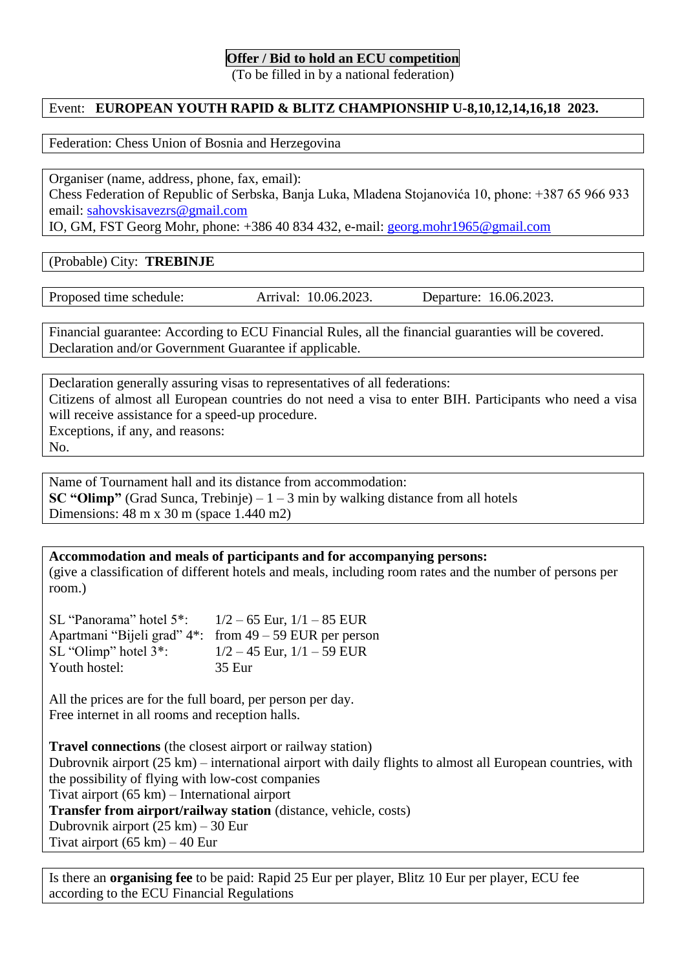#### **Offer / Bid to hold an ECU competition**

(To be filled in by a national federation)

## Event: **EUROPEAN YOUTH RAPID & BLITZ CHAMPIONSHIP U-8,10,12,14,16,18 2023.**

Federation: Chess Union of Bosnia and Herzegovina

Organiser (name, address, phone, fax, email): Chess Federation of Republic of Serbska, Banja Luka, Mladena Stojanovića 10, phone: +387 65 966 933 email: [sahovskisavezrs@gmail.com](mailto:sahovskisavezrs@gmail.com)

IO, GM, FST Georg Mohr, phone: +386 40 834 432, e-mail: [georg.mohr1965@gmail.com](mailto:georg.mohr1965@gmail.com)

(Probable) City: **TREBINJE**

Proposed time schedule: Arrival: 10.06.2023. Departure: 16.06.2023.

Financial guarantee: According to ECU Financial Rules, all the financial guaranties will be covered. Declaration and/or Government Guarantee if applicable.

Declaration generally assuring visas to representatives of all federations: Citizens of almost all European countries do not need a visa to enter BIH. Participants who need a visa will receive assistance for a speed-up procedure. Exceptions, if any, and reasons: No.

Name of Tournament hall and its distance from accommodation: **SC "Olimp"** (Grad Sunca, Trebinje)  $-1$  – 3 min by walking distance from all hotels Dimensions: 48 m x 30 m (space 1.440 m2)

**Accommodation and meals of participants and for accompanying persons:** (give a classification of different hotels and meals, including room rates and the number of persons per room.)

SL "Panorama" hotel  $5$ ":  $1/2 - 65$  Eur,  $1/1 - 85$  EUR Apartmani "Bijeli grad" 4\*: from 49 – 59 EUR per person SL "Olimp" hotel  $3^*$ :  $1/2 - 45$  Eur,  $1/1 - 59$  EUR Youth hostel: 35 Eur

All the prices are for the full board, per person per day. Free internet in all rooms and reception halls.

**Travel connections** (the closest airport or railway station) Dubrovnik airport (25 km) – international airport with daily flights to almost all European countries, with the possibility of flying with low-cost companies Tivat airport (65 km) – International airport **Transfer from airport/railway station** (distance, vehicle, costs) Dubrovnik airport (25 km) – 30 Eur Tivat airport  $(65 \text{ km}) - 40 \text{ Eur}$ 

Is there an **organising fee** to be paid: Rapid 25 Eur per player, Blitz 10 Eur per player, ECU fee according to the ECU Financial Regulations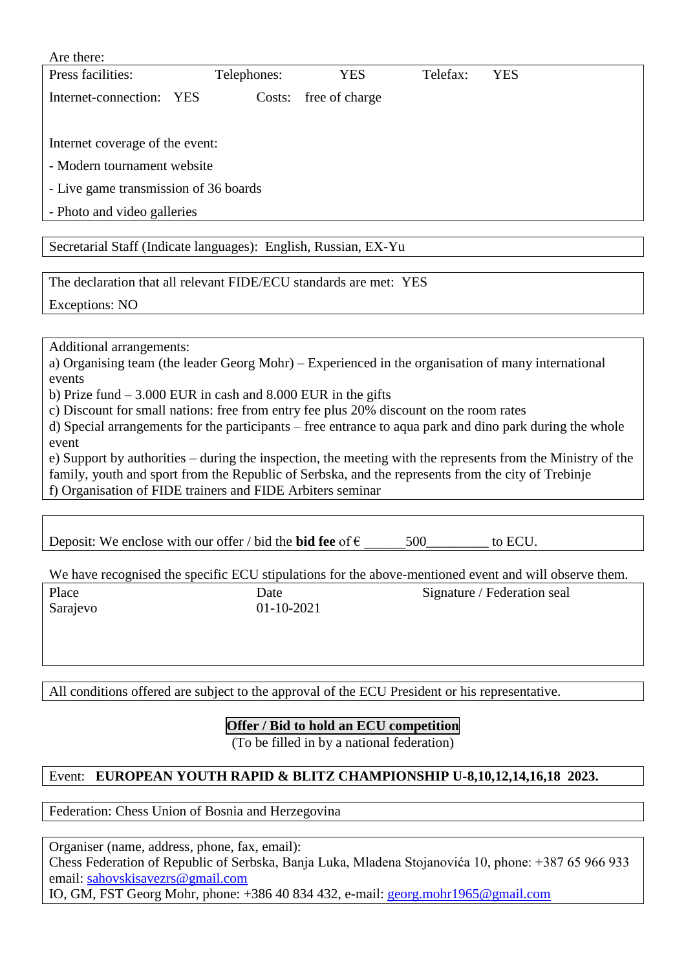| Are there:                                                      |             |                |          |            |  |
|-----------------------------------------------------------------|-------------|----------------|----------|------------|--|
| Press facilities:                                               | Telephones: | <b>YES</b>     | Telefax: | <b>YES</b> |  |
| Internet-connection:<br><b>YES</b>                              | Costs:      | free of charge |          |            |  |
|                                                                 |             |                |          |            |  |
| Internet coverage of the event:                                 |             |                |          |            |  |
| - Modern tournament website                                     |             |                |          |            |  |
| - Live game transmission of 36 boards                           |             |                |          |            |  |
| - Photo and video galleries                                     |             |                |          |            |  |
|                                                                 |             |                |          |            |  |
| Secretarial Staff (Indicate languages): English, Russian, EX-Yu |             |                |          |            |  |

The declaration that all relevant FIDE/ECU standards are met: YES

Exceptions: NO

Additional arrangements:

a) Organising team (the leader Georg Mohr) – Experienced in the organisation of many international events

b) Prize fund – 3.000 EUR in cash and 8.000 EUR in the gifts

c) Discount for small nations: free from entry fee plus 20% discount on the room rates

d) Special arrangements for the participants – free entrance to aqua park and dino park during the whole event

e) Support by authorities – during the inspection, the meeting with the represents from the Ministry of the family, youth and sport from the Republic of Serbska, and the represents from the city of Trebinje f) Organisation of FIDE trainers and FIDE Arbiters seminar

| We have recognised the specific ECU stipulations for the above-mentioned event and will observe them. |  |  |  |  |  |
|-------------------------------------------------------------------------------------------------------|--|--|--|--|--|
|                                                                                                       |  |  |  |  |  |
|                                                                                                       |  |  |  |  |  |
|                                                                                                       |  |  |  |  |  |
|                                                                                                       |  |  |  |  |  |

All conditions offered are subject to the approval of the ECU President or his representative.

# **Offer / Bid to hold an ECU competition**

(To be filled in by a national federation)

# Event: **EUROPEAN YOUTH RAPID & BLITZ CHAMPIONSHIP U-8,10,12,14,16,18 2023.**

Federation: Chess Union of Bosnia and Herzegovina

Organiser (name, address, phone, fax, email): Chess Federation of Republic of Serbska, Banja Luka, Mladena Stojanovića 10, phone: +387 65 966 933 email: [sahovskisavezrs@gmail.com](mailto:sahovskisavezrs@gmail.com) IO, GM, FST Georg Mohr, phone: +386 40 834 432, e-mail: [georg.mohr1965@gmail.com](mailto:georg.mohr1965@gmail.com)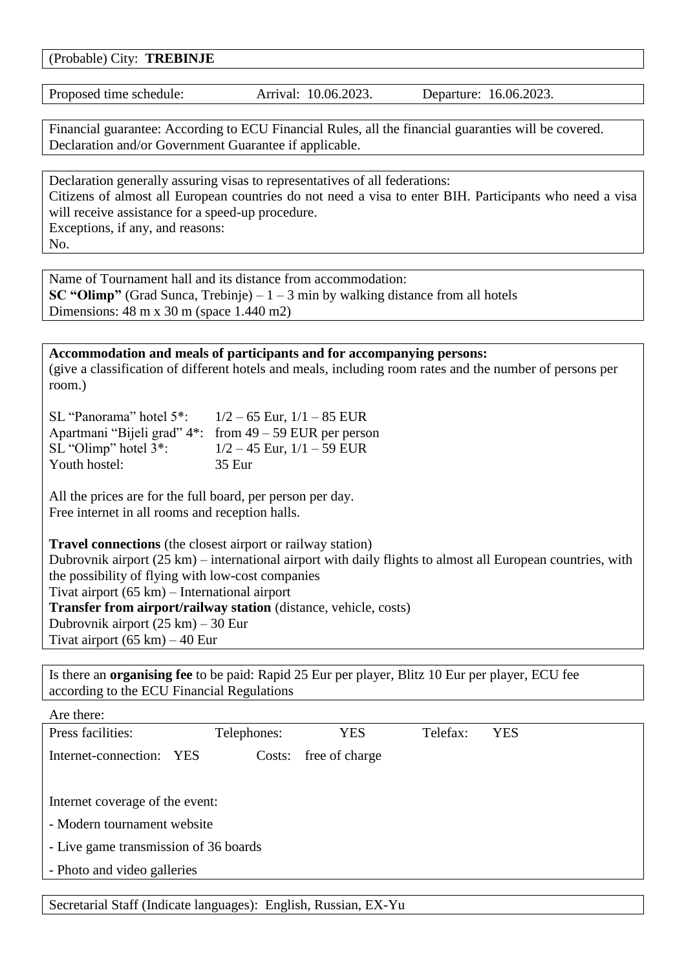(Probable) City: **TREBINJE**

Proposed time schedule: Arrival: 10.06.2023. Departure: 16.06.2023.

Financial guarantee: According to ECU Financial Rules, all the financial guaranties will be covered. Declaration and/or Government Guarantee if applicable.

Declaration generally assuring visas to representatives of all federations: Citizens of almost all European countries do not need a visa to enter BIH. Participants who need a visa will receive assistance for a speed-up procedure. Exceptions, if any, and reasons: No.

Name of Tournament hall and its distance from accommodation: **SC "Olimp"** (Grad Sunca, Trebinje) – 1 – 3 min by walking distance from all hotels Dimensions: 48 m x 30 m (space 1.440 m2)

#### **Accommodation and meals of participants and for accompanying persons:** (give a classification of different hotels and meals, including room rates and the number of persons per room.)

| SL "Panorama" hotel $5^*$ : $1/2 - 65$ Eur, $1/1 - 85$ EUR |                                                              |
|------------------------------------------------------------|--------------------------------------------------------------|
|                                                            | Apartmani "Bijeli grad" $4$ ": from $49 - 59$ EUR per person |
| $SL$ "Olimp" hotel $3$ ":                                  | $1/2 - 45$ Eur, $1/1 - 59$ EUR                               |
| Youth hostel:                                              | 35 Eur                                                       |

All the prices are for the full board, per person per day. Free internet in all rooms and reception halls.

**Travel connections** (the closest airport or railway station) Dubrovnik airport (25 km) – international airport with daily flights to almost all European countries, with the possibility of flying with low-cost companies Tivat airport (65 km) – International airport **Transfer from airport/railway station** (distance, vehicle, costs) Dubrovnik airport (25 km) – 30 Eur Tivat airport (65 km) – 40 Eur

Is there an **organising fee** to be paid: Rapid 25 Eur per player, Blitz 10 Eur per player, ECU fee according to the ECU Financial Regulations

| Are there:                            |            |             |                |          |            |  |
|---------------------------------------|------------|-------------|----------------|----------|------------|--|
| Press facilities:                     |            | Telephones: | <b>YES</b>     | Telefax: | <b>YES</b> |  |
| Internet-connection:                  | <b>YES</b> | Costs:      | free of charge |          |            |  |
|                                       |            |             |                |          |            |  |
| Internet coverage of the event:       |            |             |                |          |            |  |
| - Modern tournament website           |            |             |                |          |            |  |
| - Live game transmission of 36 boards |            |             |                |          |            |  |
| - Photo and video galleries           |            |             |                |          |            |  |
|                                       |            |             |                |          |            |  |

Secretarial Staff (Indicate languages): English, Russian, EX-Yu